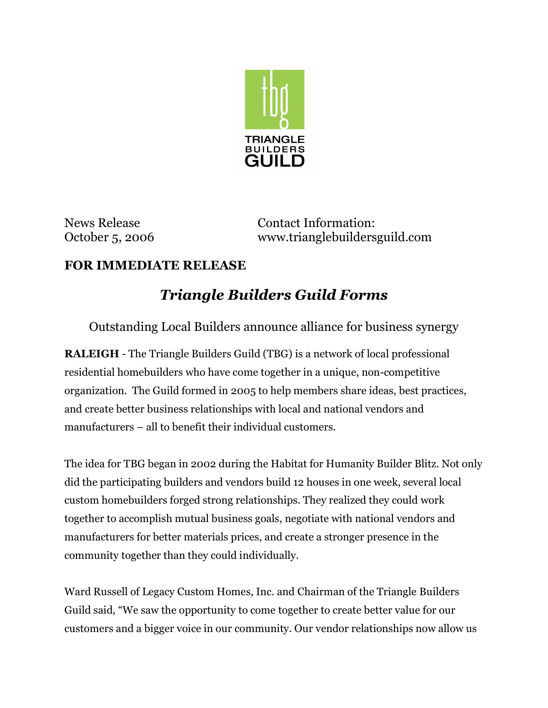

News Release **Contact Information:** October 5, 2006 www.trianglebuildersguild.com

## **FOR IMMEDIATE RELEASE**

## *Triangle Builders Guild Forms*

Outstanding Local Builders announce alliance for business synergy

**RALEIGH** - The Triangle Builders Guild (TBG) is a network of local professional residential homebuilders who have come together in a unique, non-competitive organization. The Guild formed in 2005 to help members share ideas, best practices, and create better business relationships with local and national vendors and manufacturers – all to benefit their individual customers.

The idea for TBG began in 2002 during the Habitat for Humanity Builder Blitz. Not only did the participating builders and vendors build 12 houses in one week, several local custom homebuilders forged strong relationships. They realized they could work together to accomplish mutual business goals, negotiate with national vendors and manufacturers for better materials prices, and create a stronger presence in the community together than they could individually.

Ward Russell of Legacy Custom Homes, Inc. and Chairman of the Triangle Builders Guild said, "We saw the opportunity to come together to create better value for our customers and a bigger voice in our community. Our vendor relationships now allow us